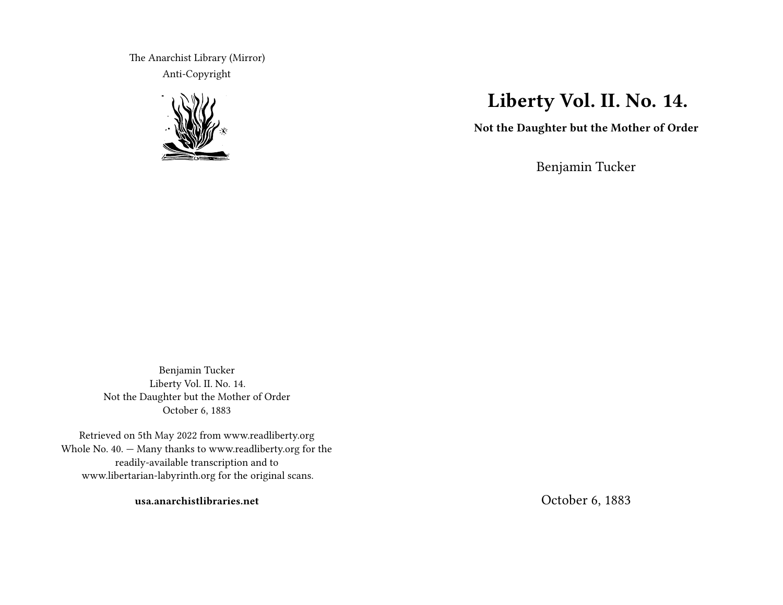The Anarchist Library (Mirror) Anti-Copyright



# **Liberty Vol. II. No. 14.**

**Not the Daughter but the Mother of Order**

Benjamin Tucker

Benjamin Tucker Liberty Vol. II. No. 14. Not the Daughter but the Mother of Order October 6, 1883

Retrieved on 5th May 2022 from www.readliberty.org Whole No. 40. — Many thanks to www.readliberty.org for the readily-available transcription and to www.libertarian-labyrinth.org for the original scans.

**usa.anarchistlibraries.net**

October 6, 1883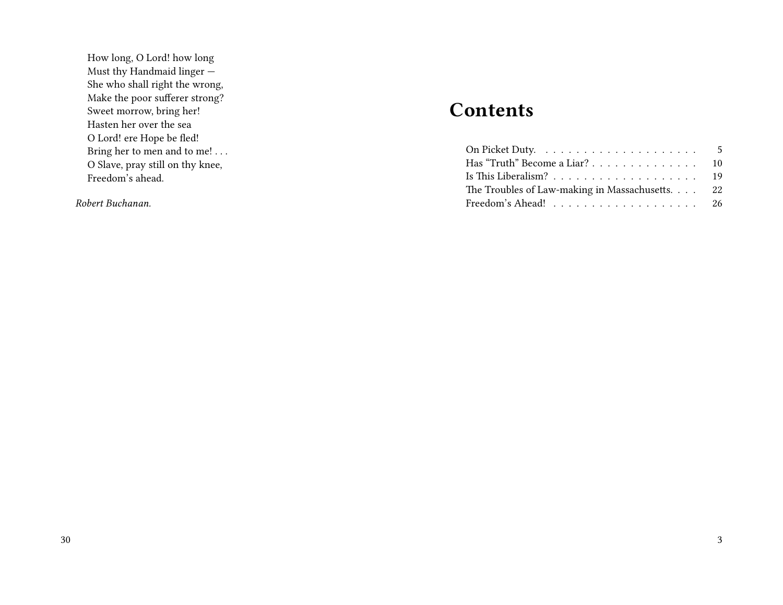How long, O Lord! how long Must thy Handmaid linger — She who shall right the wrong, Make the poor sufferer strong? Sweet morrow, bring her! Hasten her over the sea O Lord! ere Hope be fled! Bring her to men and to me! . . . O Slave, pray still on thy knee, Freedom's ahead.

*Robert Buchanan.*

# **Contents**

| Has "Truth" Become a Liar? 10                   |  |
|-------------------------------------------------|--|
|                                                 |  |
| The Troubles of Law-making in Massachusetts. 22 |  |
|                                                 |  |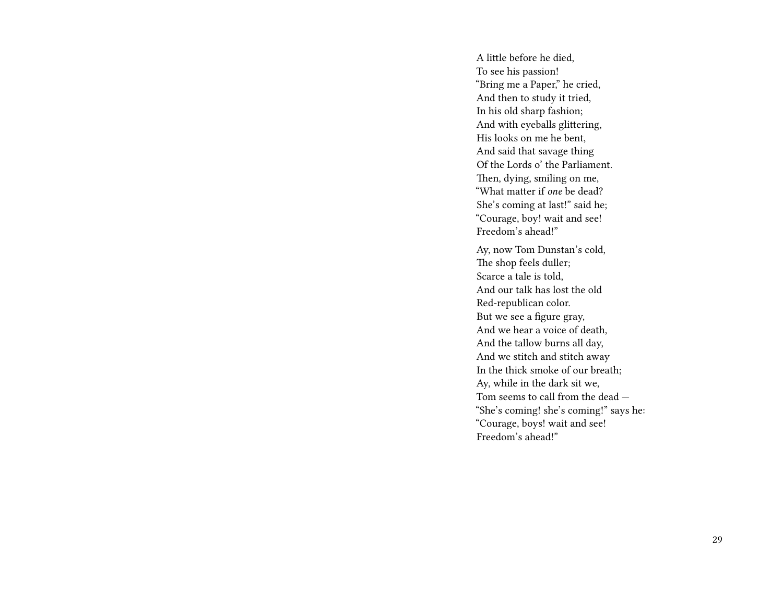A little before he died, To see his passion! "Bring me a Paper," he cried, And then to study it tried, In his old sharp fashion; And with eyeballs glittering, His looks on me he bent, And said that savage thing Of the Lords o' the Parliament. Then, dying, smiling on me, "What matter if *one* be dead? She's coming at last!" said he; "Courage, boy! wait and see! Freedom's ahead!"

Ay, now Tom Dunstan's cold, The shop feels duller; Scarce a tale is told, And our talk has lost the old Red-republican color. But we see a figure gray, And we hear a voice of death, And the tallow burns all day, And we stitch and stitch away In the thick smoke of our breath; Ay, while in the dark sit we, Tom seems to call from the dead — "She's coming! she's coming!" says he: "Courage, boys! wait and see! Freedom's ahead!"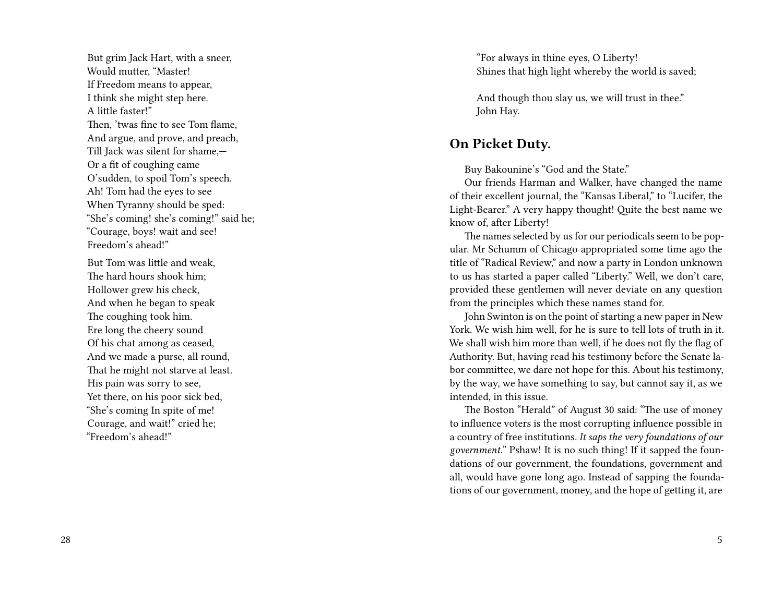But grim Jack Hart, with a sneer, Would mutter, "Master! If Freedom means to appear, I think she might step here. A little faster!" Then, 'twas fine to see Tom flame, And argue, and prove, and preach, Till Jack was silent for shame,— Or a fit of coughing came O'sudden, to spoil Tom's speech. Ah! Tom had the eyes to see When Tyranny should be sped: "She's coming! she's coming!" said he; "Courage, boys! wait and see! Freedom's ahead!"

But Tom was little and weak, The hard hours shook him; Hollower grew his check, And when he began to speak The coughing took him. Ere long the cheery sound Of his chat among as ceased, And we made a purse, all round, That he might not starve at least. His pain was sorry to see, Yet there, on his poor sick bed, "She's coming In spite of me! Courage, and wait!" cried he; "Freedom's ahead!"

"For always in thine eyes, O Liberty! Shines that high light whereby the world is saved;

And though thou slay us, we will trust in thee." John Hay.

#### **On Picket Duty.**

Buy Bakounine's "God and the State."

Our friends Harman and Walker, have changed the name of their excellent journal, the "Kansas Liberal," to "Lucifer, the Light-Bearer." A very happy thought! Quite the best name we know of, after Liberty!

The names selected by us for our periodicals seem to be popular. Mr Schumm of Chicago appropriated some time ago the title of "Radical Review," and now a party in London unknown to us has started a paper called "Liberty." Well, we don't care, provided these gentlemen will never deviate on any question from the principles which these names stand for.

John Swinton is on the point of starting a new paper in New York. We wish him well, for he is sure to tell lots of truth in it. We shall wish him more than well, if he does not fly the flag of Authority. But, having read his testimony before the Senate labor committee, we dare not hope for this. About his testimony, by the way, we have something to say, but cannot say it, as we intended, in this issue.

The Boston "Herald" of August 30 said: "The use of money to influence voters is the most corrupting influence possible in a country of free institutions. *It saps the very foundations of our government.*" Pshaw! It is no such thing! If it sapped the foundations of our government, the foundations, government and all, would have gone long ago. Instead of sapping the foundations of our government, money, and the hope of getting it, are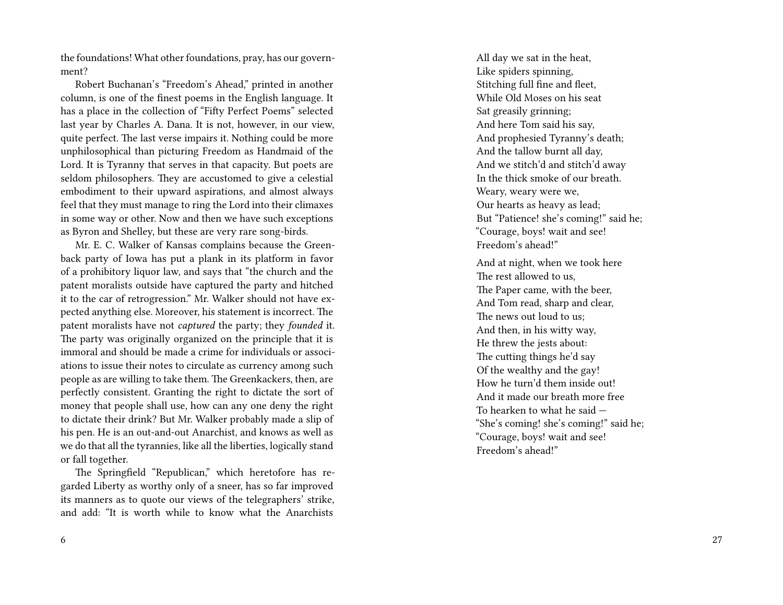the foundations! What other foundations, pray, has our government?

Robert Buchanan's "Freedom's Ahead," printed in another column, is one of the finest poems in the English language. It has a place in the collection of "Fifty Perfect Poems" selected last year by Charles A. Dana. It is not, however, in our view, quite perfect. The last verse impairs it. Nothing could be more unphilosophical than picturing Freedom as Handmaid of the Lord. It is Tyranny that serves in that capacity. But poets are seldom philosophers. They are accustomed to give a celestial embodiment to their upward aspirations, and almost always feel that they must manage to ring the Lord into their climaxes in some way or other. Now and then we have such exceptions as Byron and Shelley, but these are very rare song-birds.

Mr. E. C. Walker of Kansas complains because the Greenback party of Iowa has put a plank in its platform in favor of a prohibitory liquor law, and says that "the church and the patent moralists outside have captured the party and hitched it to the car of retrogression." Mr. Walker should not have expected anything else. Moreover, his statement is incorrect. The patent moralists have not *captured* the party; they *founded* it. The party was originally organized on the principle that it is immoral and should be made a crime for individuals or associations to issue their notes to circulate as currency among such people as are willing to take them. The Greenkackers, then, are perfectly consistent. Granting the right to dictate the sort of money that people shall use, how can any one deny the right to dictate their drink? But Mr. Walker probably made a slip of his pen. He is an out-and-out Anarchist, and knows as well as we do that all the tyrannies, like all the liberties, logically stand or fall together.

The Springfield "Republican," which heretofore has regarded Liberty as worthy only of a sneer, has so far improved its manners as to quote our views of the telegraphers' strike, and add: "It is worth while to know what the Anarchists

6

All day we sat in the heat, Like spiders spinning, Stitching full fine and fleet, While Old Moses on his seat Sat greasily grinning; And here Tom said his say, And prophesied Tyranny's death; And the tallow burnt all day, And we stitch'd and stitch'd away In the thick smoke of our breath. Weary, weary were we, Our hearts as heavy as lead; But "Patience! she's coming!" said he; "Courage, boys! wait and see! Freedom's ahead!"

And at night, when we took here The rest allowed to us, The Paper came, with the beer, And Tom read, sharp and clear, The news out loud to us; And then, in his witty way, He threw the jests about: The cutting things he'd say Of the wealthy and the gay! How he turn'd them inside out! And it made our breath more free To hearken to what he said — "She's coming! she's coming!" said he; "Courage, boys! wait and see! Freedom's ahead!"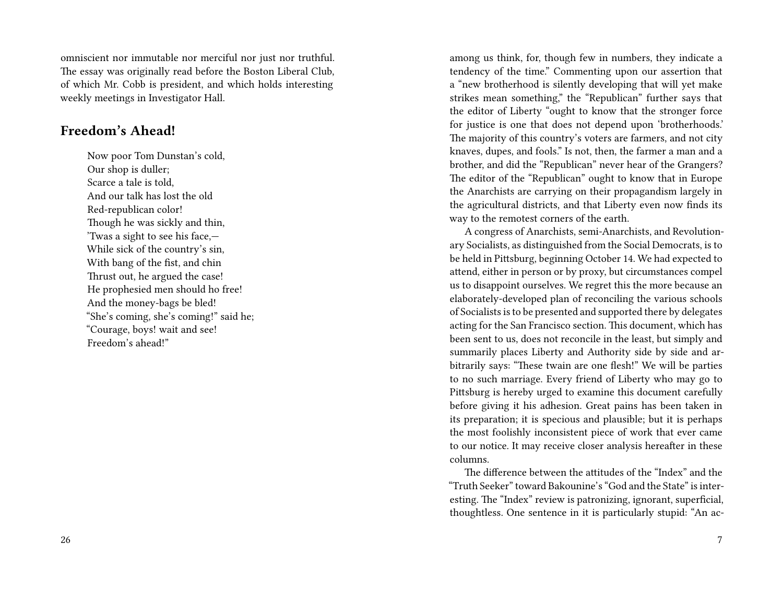omniscient nor immutable nor merciful nor just nor truthful. The essay was originally read before the Boston Liberal Club, of which Mr. Cobb is president, and which holds interesting weekly meetings in Investigator Hall.

#### **Freedom's Ahead!**

Now poor Tom Dunstan's cold, Our shop is duller; Scarce a tale is told, And our talk has lost the old Red-republican color! Though he was sickly and thin, 'Twas a sight to see his face,— While sick of the country's sin, With bang of the fist, and chin Thrust out, he argued the case! He prophesied men should ho free! And the money-bags be bled! "She's coming, she's coming!" said he; "Courage, boys! wait and see! Freedom's ahead!"

among us think, for, though few in numbers, they indicate a tendency of the time." Commenting upon our assertion that a "new brotherhood is silently developing that will yet make strikes mean something," the "Republican" further says that the editor of Liberty "ought to know that the stronger force for justice is one that does not depend upon 'brotherhoods.' The majority of this country's voters are farmers, and not city knaves, dupes, and fools." Is not, then, the farmer a man and a brother, and did the "Republican" never hear of the Grangers? The editor of the "Republican" ought to know that in Europe the Anarchists are carrying on their propagandism largely in the agricultural districts, and that Liberty even now finds its way to the remotest corners of the earth.

A congress of Anarchists, semi-Anarchists, and Revolutionary Socialists, as distinguished from the Social Democrats, is to be held in Pittsburg, beginning October 14. We had expected to attend, either in person or by proxy, but circumstances compel us to disappoint ourselves. We regret this the more because an elaborately-developed plan of reconciling the various schools of Socialists is to be presented and supported there by delegates acting for the San Francisco section. This document, which has been sent to us, does not reconcile in the least, but simply and summarily places Liberty and Authority side by side and arbitrarily says: "These twain are one flesh!" We will be parties to no such marriage. Every friend of Liberty who may go to Pittsburg is hereby urged to examine this document carefully before giving it his adhesion. Great pains has been taken in its preparation; it is specious and plausible; but it is perhaps the most foolishly inconsistent piece of work that ever came to our notice. It may receive closer analysis hereafter in these columns.

The difference between the attitudes of the "Index" and the "Truth Seeker" toward Bakounine's "God and the State" is interesting. The "Index" review is patronizing, ignorant, superficial, thoughtless. One sentence in it is particularly stupid: "An ac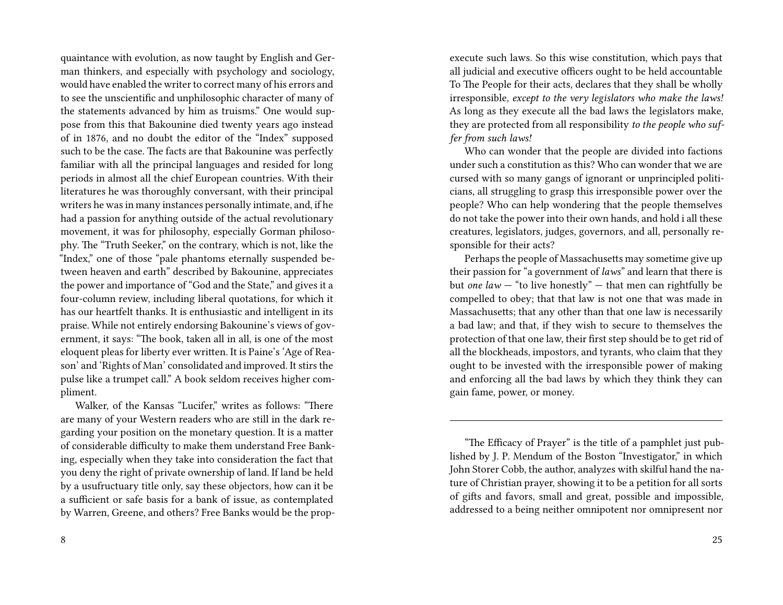quaintance with evolution, as now taught by English and German thinkers, and especially with psychology and sociology, would have enabled the writer to correct many of his errors and to see the unscientific and unphilosophic character of many of the statements advanced by him as truisms." One would suppose from this that Bakounine died twenty years ago instead of in 1876, and no doubt the editor of the "Index" supposed such to be the case. The facts are that Bakounine was perfectly familiar with all the principal languages and resided for long periods in almost all the chief European countries. With their literatures he was thoroughly conversant, with their principal writers he was in many instances personally intimate, and, if he had a passion for anything outside of the actual revolutionary movement, it was for philosophy, especially Gorman philosophy. The "Truth Seeker," on the contrary, which is not, like the "Index," one of those "pale phantoms eternally suspended between heaven and earth" described by Bakounine, appreciates the power and importance of "God and the State," and gives it a four-column review, including liberal quotations, for which it has our heartfelt thanks. It is enthusiastic and intelligent in its praise. While not entirely endorsing Bakounine's views of government, it says: "The book, taken all in all, is one of the most eloquent pleas for liberty ever written. It is Paine's 'Age of Reason' and 'Rights of Man' consolidated and improved. It stirs the pulse like a trumpet call." A book seldom receives higher compliment.

Walker, of the Kansas "Lucifer," writes as follows: "There are many of your Western readers who are still in the dark regarding your position on the monetary question. It is a matter of considerable difficulty to make them understand Free Banking, especially when they take into consideration the fact that you deny the right of private ownership of land. If land be held by a usufructuary title only, say these objectors, how can it be a sufficient or safe basis for a bank of issue, as contemplated by Warren, Greene, and others? Free Banks would be the propexecute such laws. So this wise constitution, which pays that all judicial and executive officers ought to be held accountable To The People for their acts, declares that they shall be wholly irresponsible, *except to the very legislators who make the laws!* As long as they execute all the bad laws the legislators make, they are protected from all responsibility *to the people who suffer from such laws!*

Who can wonder that the people are divided into factions under such a constitution as this? Who can wonder that we are cursed with so many gangs of ignorant or unprincipled politicians, all struggling to grasp this irresponsible power over the people? Who can help wondering that the people themselves do not take the power into their own hands, and hold i all these creatures, legislators, judges, governors, and all, personally responsible for their acts?

Perhaps the people of Massachusetts may sometime give up their passion for "a government of *laws*" and learn that there is but *one law* — "to live honestly" — that men can rightfully be compelled to obey; that that law is not one that was made in Massachusetts; that any other than that one law is necessarily a bad law; and that, if they wish to secure to themselves the protection of that one law, their first step should be to get rid of all the blockheads, impostors, and tyrants, who claim that they ought to be invested with the irresponsible power of making and enforcing all the bad laws by which they think they can gain fame, power, or money.

<sup>&</sup>quot;The Efficacy of Prayer" is the title of a pamphlet just published by J. P. Mendum of the Boston "Investigator," in which John Storer Cobb, the author, analyzes with skilful hand the nature of Christian prayer, showing it to be a petition for all sorts of gifts and favors, small and great, possible and impossible, addressed to a being neither omnipotent nor omnipresent nor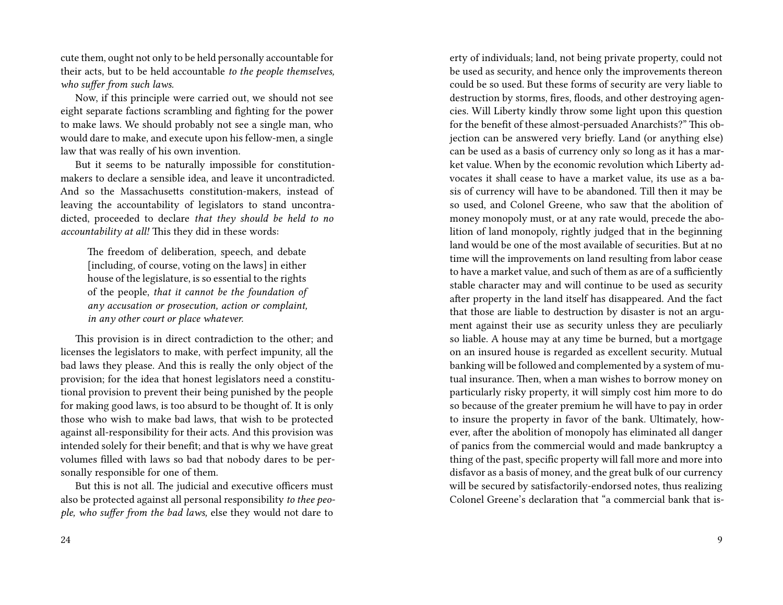cute them, ought not only to be held personally accountable for their acts, but to be held accountable *to the people themselves, who suffer from such laws.*

Now, if this principle were carried out, we should not see eight separate factions scrambling and fighting for the power to make laws. We should probably not see a single man, who would dare to make, and execute upon his fellow-men, a single law that was really of his own invention.

But it seems to be naturally impossible for constitutionmakers to declare a sensible idea, and leave it uncontradicted. And so the Massachusetts constitution-makers, instead of leaving the accountability of legislators to stand uncontradicted, proceeded to declare *that they should be held to no accountability at all!* This they did in these words:

The freedom of deliberation, speech, and debate [including, of course, voting on the laws] in either house of the legislature, is so essential to the rights of the people, *that it cannot be the foundation of any accusation or prosecution, action or complaint, in any other court or place whatever.*

This provision is in direct contradiction to the other; and licenses the legislators to make, with perfect impunity, all the bad laws they please. And this is really the only object of the provision; for the idea that honest legislators need a constitutional provision to prevent their being punished by the people for making good laws, is too absurd to be thought of. It is only those who wish to make bad laws, that wish to be protected against all-responsibility for their acts. And this provision was intended solely for their benefit; and that is why we have great volumes filled with laws so bad that nobody dares to be personally responsible for one of them.

But this is not all. The judicial and executive officers must also be protected against all personal responsibility *to thee people, who suffer from the bad laws,* else they would not dare to

erty of individuals; land, not being private property, could not be used as security, and hence only the improvements thereon could be so used. But these forms of security are very liable to destruction by storms, fires, floods, and other destroying agencies. Will Liberty kindly throw some light upon this question for the benefit of these almost-persuaded Anarchists?" This objection can be answered very briefly. Land (or anything else) can be used as a basis of currency only so long as it has a market value. When by the economic revolution which Liberty advocates it shall cease to have a market value, its use as a basis of currency will have to be abandoned. Till then it may be so used, and Colonel Greene, who saw that the abolition of money monopoly must, or at any rate would, precede the abolition of land monopoly, rightly judged that in the beginning land would be one of the most available of securities. But at no time will the improvements on land resulting from labor cease to have a market value, and such of them as are of a sufficiently stable character may and will continue to be used as security after property in the land itself has disappeared. And the fact that those are liable to destruction by disaster is not an argument against their use as security unless they are peculiarly so liable. A house may at any time be burned, but a mortgage on an insured house is regarded as excellent security. Mutual banking will be followed and complemented by a system of mutual insurance. Then, when a man wishes to borrow money on particularly risky property, it will simply cost him more to do so because of the greater premium he will have to pay in order to insure the property in favor of the bank. Ultimately, however, after the abolition of monopoly has eliminated all danger of panics from the commercial would and made bankruptcy a thing of the past, specific property will fall more and more into disfavor as a basis of money, and the great bulk of our currency will be secured by satisfactorily-endorsed notes, thus realizing Colonel Greene's declaration that "a commercial bank that is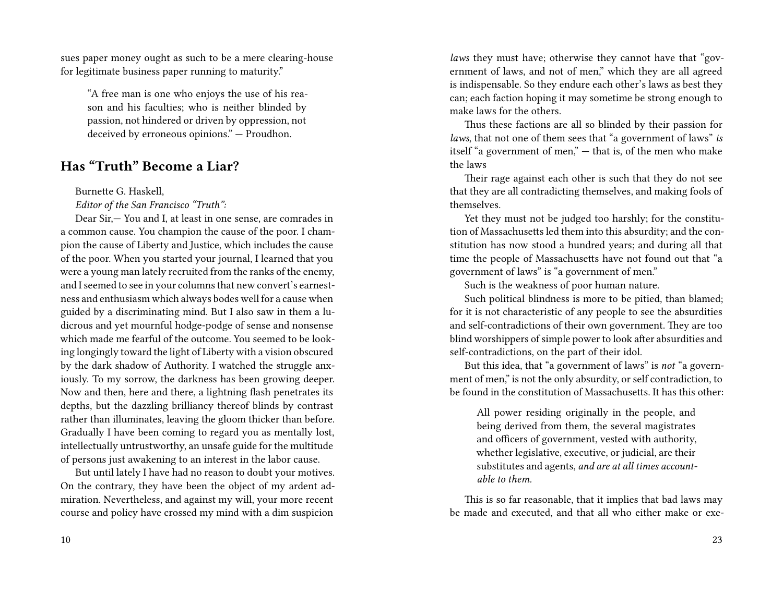sues paper money ought as such to be a mere clearing-house for legitimate business paper running to maturity."

"A free man is one who enjoys the use of his reason and his faculties; who is neither blinded by passion, not hindered or driven by oppression, not deceived by erroneous opinions." — Proudhon.

### **Has "Truth" Become a Liar?**

Burnette G. Haskell,

*Editor of the San Francisco "Truth":*

Dear Sir,— You and I, at least in one sense, are comrades in a common cause. You champion the cause of the poor. I champion the cause of Liberty and Justice, which includes the cause of the poor. When you started your journal, I learned that you were a young man lately recruited from the ranks of the enemy, and I seemed to see in your columns that new convert's earnestness and enthusiasm which always bodes well for a cause when guided by a discriminating mind. But I also saw in them a ludicrous and yet mournful hodge-podge of sense and nonsense which made me fearful of the outcome. You seemed to be looking longingly toward the light of Liberty with a vision obscured by the dark shadow of Authority. I watched the struggle anxiously. To my sorrow, the darkness has been growing deeper. Now and then, here and there, a lightning flash penetrates its depths, but the dazzling brilliancy thereof blinds by contrast rather than illuminates, leaving the gloom thicker than before. Gradually I have been coming to regard you as mentally lost, intellectually untrustworthy, an unsafe guide for the multitude of persons just awakening to an interest in the labor cause.

But until lately I have had no reason to doubt your motives. On the contrary, they have been the object of my ardent admiration. Nevertheless, and against my will, your more recent course and policy have crossed my mind with a dim suspicion

*laws* they must have; otherwise they cannot have that "government of laws, and not of men," which they are all agreed is indispensable. So they endure each other's laws as best they can; each faction hoping it may sometime be strong enough to make laws for the others.

Thus these factions are all so blinded by their passion for *laws*, that not one of them sees that "a government of laws" *is* itself "a government of men," — that is, of the men who make the laws

Their rage against each other is such that they do not see that they are all contradicting themselves, and making fools of themselves.

Yet they must not be judged too harshly; for the constitution of Massachusetts led them into this absurdity; and the constitution has now stood a hundred years; and during all that time the people of Massachusetts have not found out that "a government of laws" is "a government of men."

Such is the weakness of poor human nature.

Such political blindness is more to be pitied, than blamed; for it is not characteristic of any people to see the absurdities and self-contradictions of their own government. They are too blind worshippers of simple power to look after absurdities and self-contradictions, on the part of their idol.

But this idea, that "a government of laws" is *not* "a government of men," is not the only absurdity, or self contradiction, to be found in the constitution of Massachusetts. It has this other:

All power residing originally in the people, and being derived from them, the several magistrates and officers of government, vested with authority, whether legislative, executive, or judicial, are their substitutes and agents, *and are at all times accountable to them.*

This is so far reasonable, that it implies that bad laws may be made and executed, and that all who either make or exe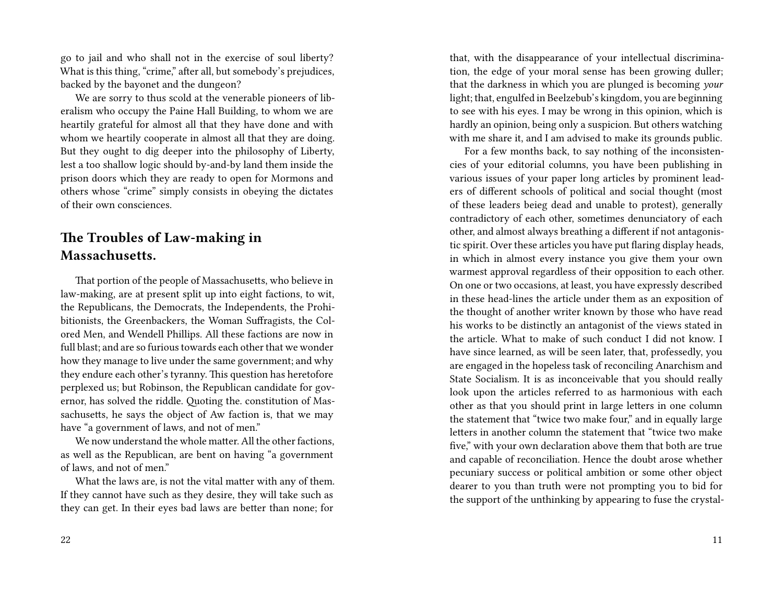go to jail and who shall not in the exercise of soul liberty? What is this thing, "crime," after all, but somebody's prejudices, backed by the bayonet and the dungeon?

We are sorry to thus scold at the venerable pioneers of liberalism who occupy the Paine Hall Building, to whom we are heartily grateful for almost all that they have done and with whom we heartily cooperate in almost all that they are doing. But they ought to dig deeper into the philosophy of Liberty, lest a too shallow logic should by-and-by land them inside the prison doors which they are ready to open for Mormons and others whose "crime" simply consists in obeying the dictates of their own consciences.

## **The Troubles of Law-making in Massachusetts.**

That portion of the people of Massachusetts, who believe in law-making, are at present split up into eight factions, to wit, the Republicans, the Democrats, the Independents, the Prohibitionists, the Greenbackers, the Woman Suffragists, the Colored Men, and Wendell Phillips. All these factions are now in full blast; and are so furious towards each other that we wonder how they manage to live under the same government; and why they endure each other's tyranny. This question has heretofore perplexed us; but Robinson, the Republican candidate for governor, has solved the riddle. Quoting the. constitution of Massachusetts, he says the object of Aw faction is, that we may have "a government of laws, and not of men."

We now understand the whole matter. All the other factions, as well as the Republican, are bent on having "a government of laws, and not of men."

What the laws are, is not the vital matter with any of them. If they cannot have such as they desire, they will take such as they can get. In their eyes bad laws are better than none; for

that, with the disappearance of your intellectual discrimination, the edge of your moral sense has been growing duller; that the darkness in which you are plunged is becoming *your* light; that, engulfed in Beelzebub's kingdom, you are beginning to see with his eyes. I may be wrong in this opinion, which is hardly an opinion, being only a suspicion. But others watching with me share it, and I am advised to make its grounds public.

For a few months back, to say nothing of the inconsistencies of your editorial columns, you have been publishing in various issues of your paper long articles by prominent leaders of different schools of political and social thought (most of these leaders beieg dead and unable to protest), generally contradictory of each other, sometimes denunciatory of each other, and almost always breathing a different if not antagonistic spirit. Over these articles you have put flaring display heads, in which in almost every instance you give them your own warmest approval regardless of their opposition to each other. On one or two occasions, at least, you have expressly described in these head-lines the article under them as an exposition of the thought of another writer known by those who have read his works to be distinctly an antagonist of the views stated in the article. What to make of such conduct I did not know. I have since learned, as will be seen later, that, professedly, you are engaged in the hopeless task of reconciling Anarchism and State Socialism. It is as inconceivable that you should really look upon the articles referred to as harmonious with each other as that you should print in large letters in one column the statement that "twice two make four," and in equally large letters in another column the statement that "twice two make five," with your own declaration above them that both are true and capable of reconciliation. Hence the doubt arose whether pecuniary success or political ambition or some other object dearer to you than truth were not prompting you to bid for the support of the unthinking by appearing to fuse the crystal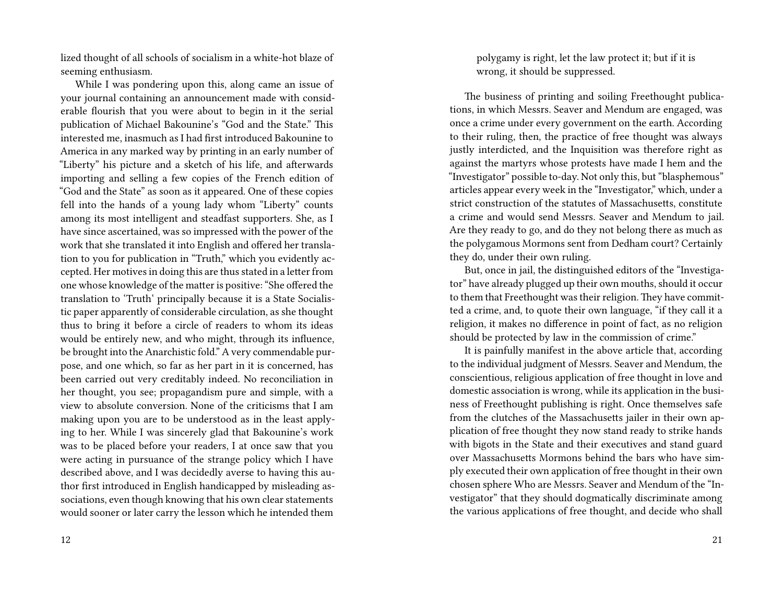lized thought of all schools of socialism in a white-hot blaze of seeming enthusiasm.

While I was pondering upon this, along came an issue of your journal containing an announcement made with considerable flourish that you were about to begin in it the serial publication of Michael Bakounine's "God and the State." This interested me, inasmuch as I had first introduced Bakounine to America in any marked way by printing in an early number of "Liberty" his picture and a sketch of his life, and afterwards importing and selling a few copies of the French edition of "God and the State" as soon as it appeared. One of these copies fell into the hands of a young lady whom "Liberty" counts among its most intelligent and steadfast supporters. She, as I have since ascertained, was so impressed with the power of the work that she translated it into English and offered her translation to you for publication in "Truth," which you evidently accepted. Her motives in doing this are thus stated in a letter from one whose knowledge of the matter is positive: "She offered the translation to 'Truth' principally because it is a State Socialistic paper apparently of considerable circulation, as she thought thus to bring it before a circle of readers to whom its ideas would be entirely new, and who might, through its influence, be brought into the Anarchistic fold." A very commendable purpose, and one which, so far as her part in it is concerned, has been carried out very creditably indeed. No reconciliation in her thought, you see; propagandism pure and simple, with a view to absolute conversion. None of the criticisms that I am making upon you are to be understood as in the least applying to her. While I was sincerely glad that Bakounine's work was to be placed before your readers, I at once saw that you were acting in pursuance of the strange policy which I have described above, and I was decidedly averse to having this author first introduced in English handicapped by misleading associations, even though knowing that his own clear statements would sooner or later carry the lesson which he intended them

12

polygamy is right, let the law protect it; but if it is wrong, it should be suppressed.

The business of printing and soiling Freethought publications, in which Messrs. Seaver and Mendum are engaged, was once a crime under every government on the earth. According to their ruling, then, the practice of free thought was always justly interdicted, and the Inquisition was therefore right as against the martyrs whose protests have made I hem and the "Investigator" possible to-day. Not only this, but "blasphemous" articles appear every week in the "Investigator," which, under a strict construction of the statutes of Massachusetts, constitute a crime and would send Messrs. Seaver and Mendum to jail. Are they ready to go, and do they not belong there as much as the polygamous Mormons sent from Dedham court? Certainly they do, under their own ruling.

But, once in jail, the distinguished editors of the "Investigator" have already plugged up their own mouths, should it occur to them that Freethought was their religion. They have committed a crime, and, to quote their own language, "if they call it a religion, it makes no difference in point of fact, as no religion should be protected by law in the commission of crime."

It is painfully manifest in the above article that, according to the individual judgment of Messrs. Seaver and Mendum, the conscientious, religious application of free thought in love and domestic association is wrong, while its application in the business of Freethought publishing is right. Once themselves safe from the clutches of the Massachusetts jailer in their own application of free thought they now stand ready to strike hands with bigots in the State and their executives and stand guard over Massachusetts Mormons behind the bars who have simply executed their own application of free thought in their own chosen sphere Who are Messrs. Seaver and Mendum of the "Investigator" that they should dogmatically discriminate among the various applications of free thought, and decide who shall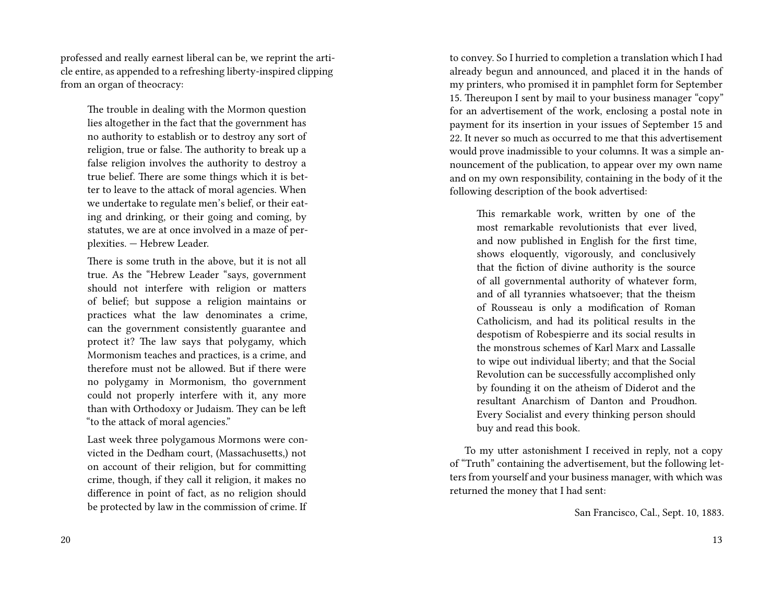professed and really earnest liberal can be, we reprint the article entire, as appended to a refreshing liberty-inspired clipping from an organ of theocracy:

The trouble in dealing with the Mormon question lies altogether in the fact that the government has no authority to establish or to destroy any sort of religion, true or false. The authority to break up a false religion involves the authority to destroy a true belief. There are some things which it is better to leave to the attack of moral agencies. When we undertake to regulate men's belief, or their eating and drinking, or their going and coming, by statutes, we are at once involved in a maze of perplexities. — Hebrew Leader.

There is some truth in the above, but it is not all true. As the "Hebrew Leader "says, government should not interfere with religion or matters of belief; but suppose a religion maintains or practices what the law denominates a crime, can the government consistently guarantee and protect it? The law says that polygamy, which Mormonism teaches and practices, is a crime, and therefore must not be allowed. But if there were no polygamy in Mormonism, tho government could not properly interfere with it, any more than with Orthodoxy or Judaism. They can be left "to the attack of moral agencies."

Last week three polygamous Mormons were convicted in the Dedham court, (Massachusetts,) not on account of their religion, but for committing crime, though, if they call it religion, it makes no difference in point of fact, as no religion should be protected by law in the commission of crime. If to convey. So I hurried to completion a translation which I had already begun and announced, and placed it in the hands of my printers, who promised it in pamphlet form for September 15. Thereupon I sent by mail to your business manager "copy" for an advertisement of the work, enclosing a postal note in payment for its insertion in your issues of September 15 and 22. It never so much as occurred to me that this advertisement would prove inadmissible to your columns. It was a simple announcement of the publication, to appear over my own name and on my own responsibility, containing in the body of it the following description of the book advertised:

This remarkable work, written by one of the most remarkable revolutionists that ever lived, and now published in English for the first time, shows eloquently, vigorously, and conclusively that the fiction of divine authority is the source of all governmental authority of whatever form, and of all tyrannies whatsoever; that the theism of Rousseau is only a modification of Roman Catholicism, and had its political results in the despotism of Robespierre and its social results in the monstrous schemes of Karl Marx and Lassalle to wipe out individual liberty; and that the Social Revolution can be successfully accomplished only by founding it on the atheism of Diderot and the resultant Anarchism of Danton and Proudhon. Every Socialist and every thinking person should buy and read this book.

To my utter astonishment I received in reply, not a copy of "Truth" containing the advertisement, but the following letters from yourself and your business manager, with which was returned the money that I had sent:

San Francisco, Cal., Sept. 10, 1883.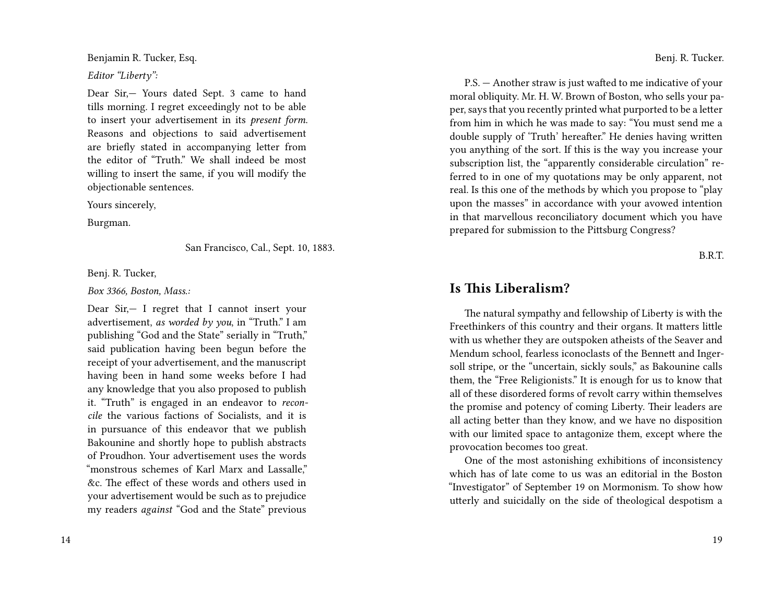Benjamin R. Tucker, Esq.

*Editor "Liberty":*

Dear Sir,— Yours dated Sept. 3 came to hand tills morning. I regret exceedingly not to be able to insert your advertisement in its *present form*. Reasons and objections to said advertisement are briefly stated in accompanying letter from the editor of "Truth." We shall indeed be most willing to insert the same, if you will modify the objectionable sentences.

Yours sincerely,

Burgman.

San Francisco, Cal., Sept. 10, 1883.

Benj. R. Tucker,

*Box 3366, Boston, Mass.:*

Dear Sir,— I regret that I cannot insert your advertisement, *as worded by you*, in "Truth." I am publishing "God and the State" serially in "Truth," said publication having been begun before the receipt of your advertisement, and the manuscript having been in hand some weeks before I had any knowledge that you also proposed to publish it. "Truth" is engaged in an endeavor to *reconcile* the various factions of Socialists, and it is in pursuance of this endeavor that we publish Bakounine and shortly hope to publish abstracts of Proudhon. Your advertisement uses the words "monstrous schemes of Karl Marx and Lassalle," &c. The effect of these words and others used in your advertisement would be such as to prejudice my readers *against* "God and the State" previous

Benj. R. Tucker.

P.S. — Another straw is just wafted to me indicative of your moral obliquity. Mr. H. W. Brown of Boston, who sells your paper, says that you recently printed what purported to be a letter from him in which he was made to say: "You must send me a double supply of 'Truth' hereafter." He denies having written you anything of the sort. If this is the way you increase your subscription list, the "apparently considerable circulation" referred to in one of my quotations may be only apparent, not real. Is this one of the methods by which you propose to "play upon the masses" in accordance with your avowed intention in that marvellous reconciliatory document which you have prepared for submission to the Pittsburg Congress?

B.R.T.

### **Is This Liberalism?**

The natural sympathy and fellowship of Liberty is with the Freethinkers of this country and their organs. It matters little with us whether they are outspoken atheists of the Seaver and Mendum school, fearless iconoclasts of the Bennett and Ingersoll stripe, or the "uncertain, sickly souls," as Bakounine calls them, the "Free Religionists." It is enough for us to know that all of these disordered forms of revolt carry within themselves the promise and potency of coming Liberty. Their leaders are all acting better than they know, and we have no disposition with our limited space to antagonize them, except where the provocation becomes too great.

One of the most astonishing exhibitions of inconsistency which has of late come to us was an editorial in the Boston "Investigator" of September 19 on Mormonism. To show how utterly and suicidally on the side of theological despotism a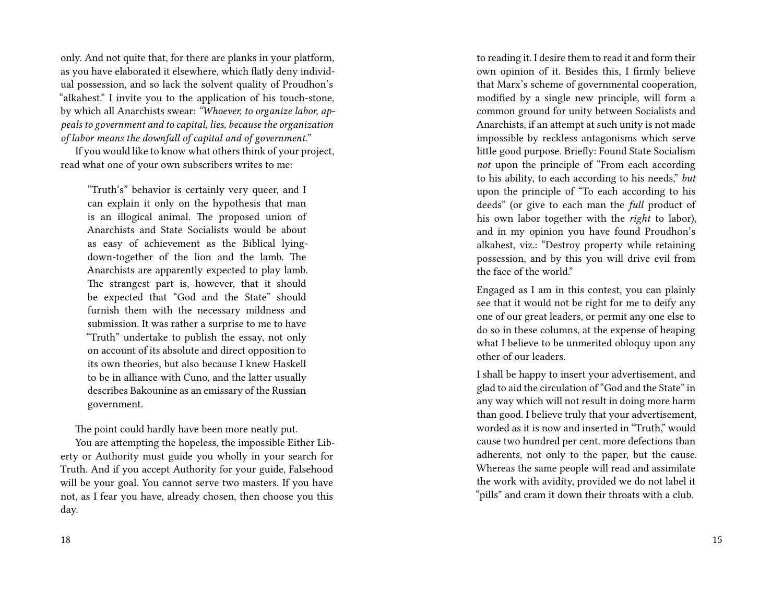only. And not quite that, for there are planks in your platform, as you have elaborated it elsewhere, which flatly deny individual possession, and so lack the solvent quality of Proudhon's "alkahest." I invite you to the application of his touch-stone, by which all Anarchists swear: *"Whoever, to organize labor, appeals to government and to capital, lies, because the organization of labor means the downfall of capital and of government."*

If you would like to know what others think of your project, read what one of your own subscribers writes to me:

"Truth's" behavior is certainly very queer, and I can explain it only on the hypothesis that man is an illogical animal. The proposed union of Anarchists and State Socialists would be about as easy of achievement as the Biblical lyingdown-together of the lion and the lamb. The Anarchists are apparently expected to play lamb. The strangest part is, however, that it should be expected that "God and the State" should furnish them with the necessary mildness and submission. It was rather a surprise to me to have "Truth" undertake to publish the essay, not only on account of its absolute and direct opposition to its own theories, but also because I knew Haskell to be in alliance with Cuno, and the latter usually describes Bakounine as an emissary of the Russian government.

The point could hardly have been more neatly put.

You are attempting the hopeless, the impossible Either Liberty or Authority must guide you wholly in your search for Truth. And if you accept Authority for your guide, Falsehood will be your goal. You cannot serve two masters. If you have not, as I fear you have, already chosen, then choose you this day.

to reading it. I desire them to read it and form their own opinion of it. Besides this, I firmly believe that Marx's scheme of governmental cooperation, modified by a single new principle, will form a common ground for unity between Socialists and Anarchists, if an attempt at such unity is not made impossible by reckless antagonisms which serve little good purpose. Briefly: Found State Socialism *not* upon the principle of "From each according to his ability, to each according to his needs," *but* upon the principle of "To each according to his deeds" (or give to each man the *full* product of his own labor together with the *right* to labor), and in my opinion you have found Proudhon's alkahest, viz.: "Destroy property while retaining possession, and by this you will drive evil from the face of the world."

Engaged as I am in this contest, you can plainly see that it would not be right for me to deify any one of our great leaders, or permit any one else to do so in these columns, at the expense of heaping what I believe to be unmerited obloquy upon any other of our leaders.

I shall be happy to insert your advertisement, and glad to aid the circulation of "God and the State" in any way which will not result in doing more harm than good. I believe truly that your advertisement, worded as it is now and inserted in "Truth," would cause two hundred per cent. more defections than adherents, not only to the paper, but the cause. Whereas the same people will read and assimilate the work with avidity, provided we do not label it "pills" and cram it down their throats with a club.